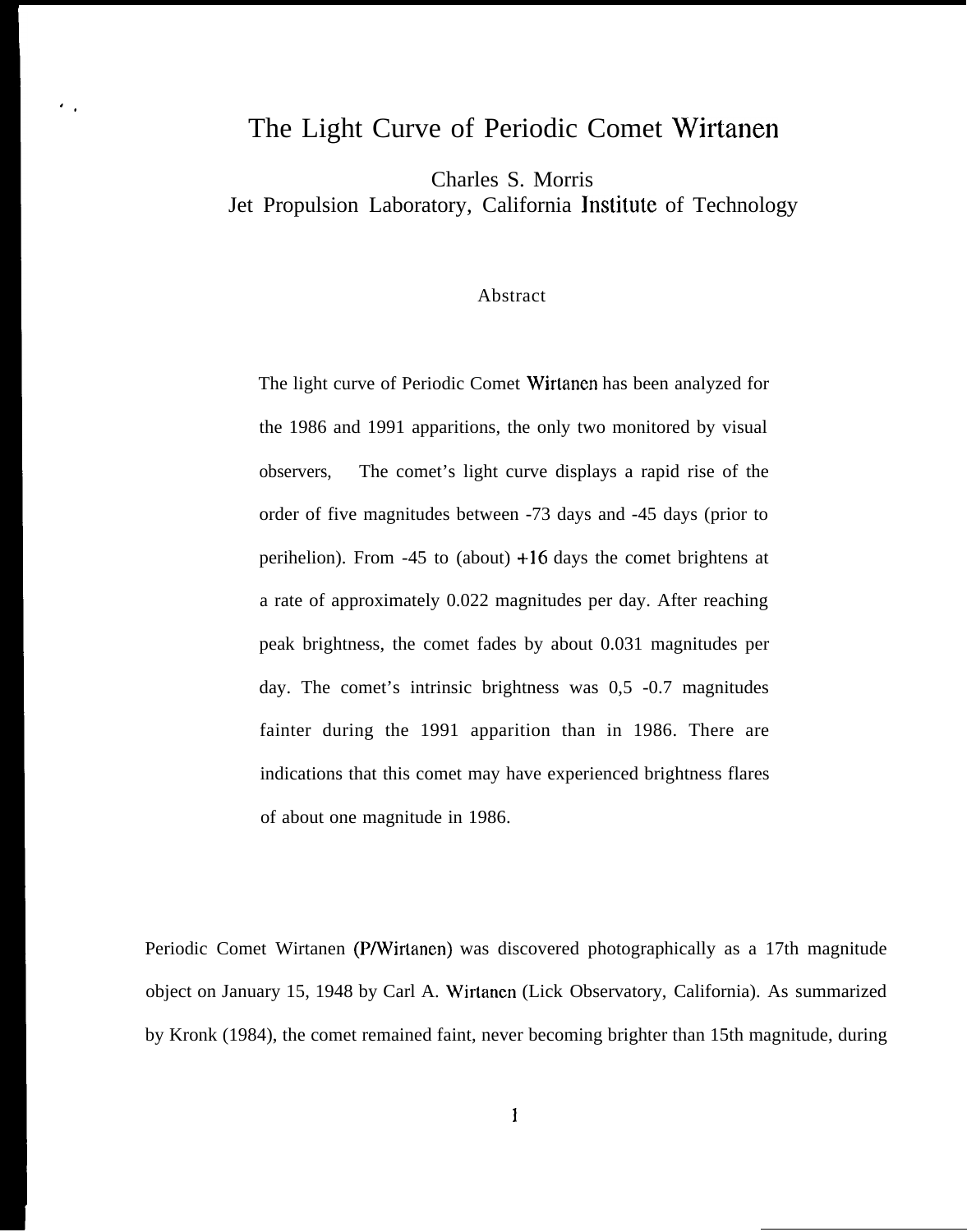# The Light Curve of Periodic Comet Wirtanen

Charles S. Morris

 $\overline{\mathcal{O}}$ 

Jet Propulsion Laboratory, California Jnstitute of Technology

## Abstract

The light curve of Periodic Comet Wirtanen has been analyzed for the 1986 and 1991 apparitions, the only two monitored by visual observers, The comet's light curve displays a rapid rise of the order of five magnitudes between -73 days and -45 days (prior to perihelion). From  $-45$  to (about)  $+16$  days the comet brightens at a rate of approximately 0.022 magnitudes per day. After reaching peak brightness, the comet fades by about 0.031 magnitudes per day. The comet's intrinsic brightness was 0,5 -0.7 magnitudes fainter during the 1991 apparition than in 1986. There are indications that this comet may have experienced brightness flares of about one magnitude in 1986.

Periodic Comet Wirtanen (P/Wirtanen) was discovered photographically as a 17th magnitude object on January 15, 1948 by Carl A. Wirtanen (Lick Observatory, California). As summarized by Kronk (1984), the comet remained faint, never becoming brighter than 15th magnitude, during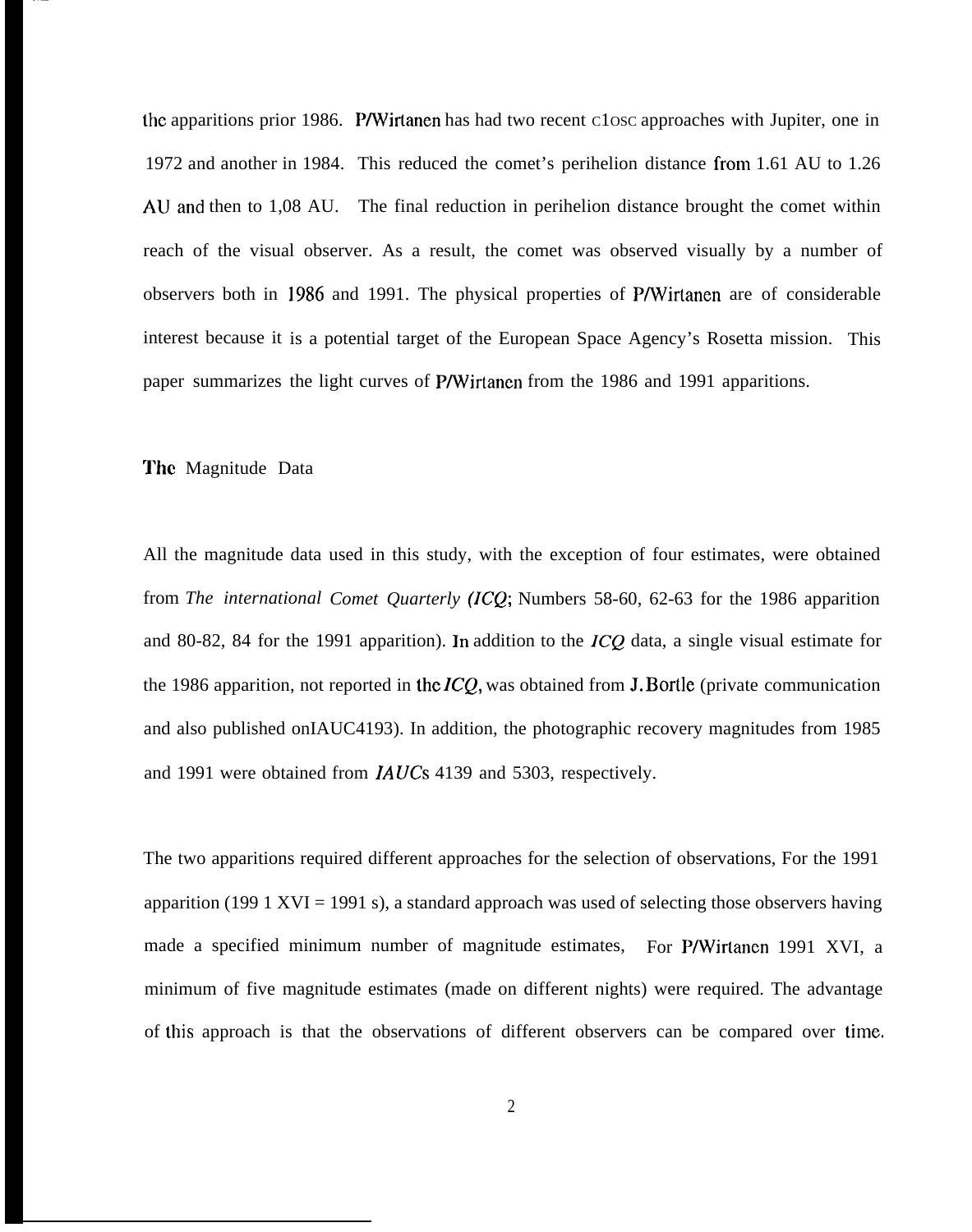the apparitions prior 1986. P/Wirtanen has had two recent C1OSC approaches with Jupiter, one in 1972 and another in 1984. This reduced the comet's perihelion distance from 1.61 AU to 1.26 AU and then to 1,08 AU. The final reduction in perihelion distance brought the comet within reach of the visual observer. As a result, the comet was observed visually by a number of observers both in 1986 and 1991. The physical properties of P/Wirtanen are of considerable interest because it is a potential target of the European Space Agency's Rosetta mission. This paper summarizes the light curves of P/Wirtancn from the 1986 and 1991 apparitions.

## The Magnitude Data

All the magnitude data used in this study, with the exception of four estimates, were obtained from *The international Comet Quarterly (ICQ;* Numbers 58-60, 62-63 for the 1986 apparition and 80-82, 84 for the 1991 apparition). In addition to the ICQ data, a single visual estimate for the 1986 apparition, not reported in the  $ICQ$ , was obtained from J. Bortle (private communication and also published onIAUC4193). In addition, the photographic recovery magnitudes from 1985 and 1991 were obtained from *IA UCS* 4139 and 5303, respectively.

The two apparitions required different approaches for the selection of observations, For the 1991 apparition (199 1 XVI = 1991 s), a standard approach was used of selecting those observers having made a specified minimum number of magnitude estimates, For P/Wirtanen 1991 XVI, a minimum of five magnitude estimates (made on different nights) were required. The advantage of this approach is that the observations of different observers can be compared over time.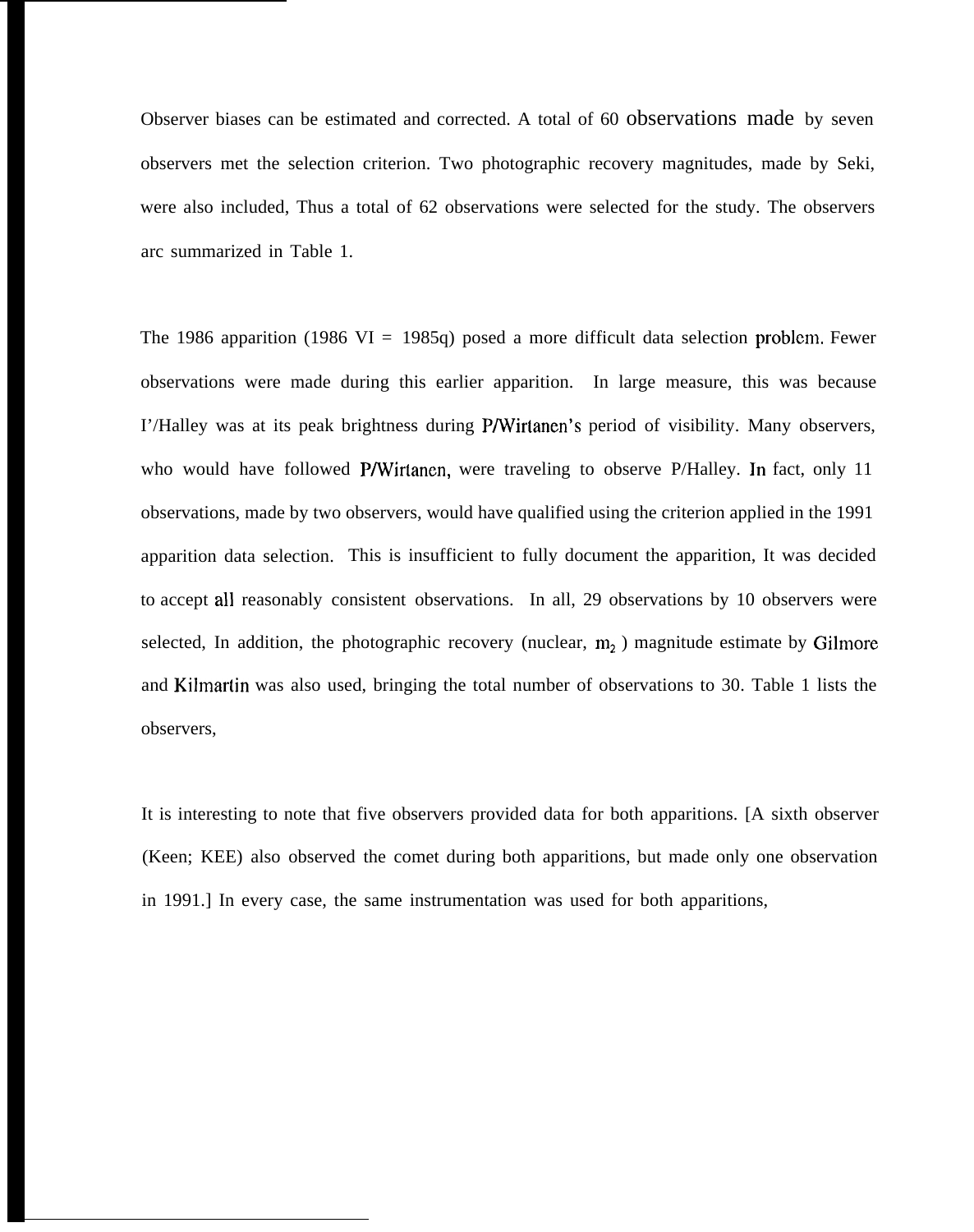Observer biases can be estimated and corrected. A total of 60 observations made by seven observers met the selection criterion. Two photographic recovery magnitudes, made by Seki, were also included, Thus a total of 62 observations were selected for the study. The observers arc summarized in Table 1.

The 1986 apparition (1986 VI = 1985q) posed a more difficult data selection problem. Fewer observations were made during this earlier apparition. In large measure, this was because I'/Halley was at its peak brightness during P/Wirtanen's period of visibility. Many observers, who would have followed P/Wirtanen, were traveling to observe P/Halley. In fact, only 11 observations, made by two observers, would have qualified using the criterion applied in the 1991 apparition data selection. This is insufficient to fully document the apparition, It was decided to accept all reasonably consistent observations. In all, 29 observations by 10 observers were selected, In addition, the photographic recovery (nuclear,  $m_2$ ) magnitude estimate by Gilmore and Kilmartin was also used, bringing the total number of observations to 30. Table 1 lists the observers,

It is interesting to note that five observers provided data for both apparitions. [A sixth observer (Keen; KEE) also observed the comet during both apparitions, but made only one observation in 1991.] In every case, the same instrumentation was used for both apparitions,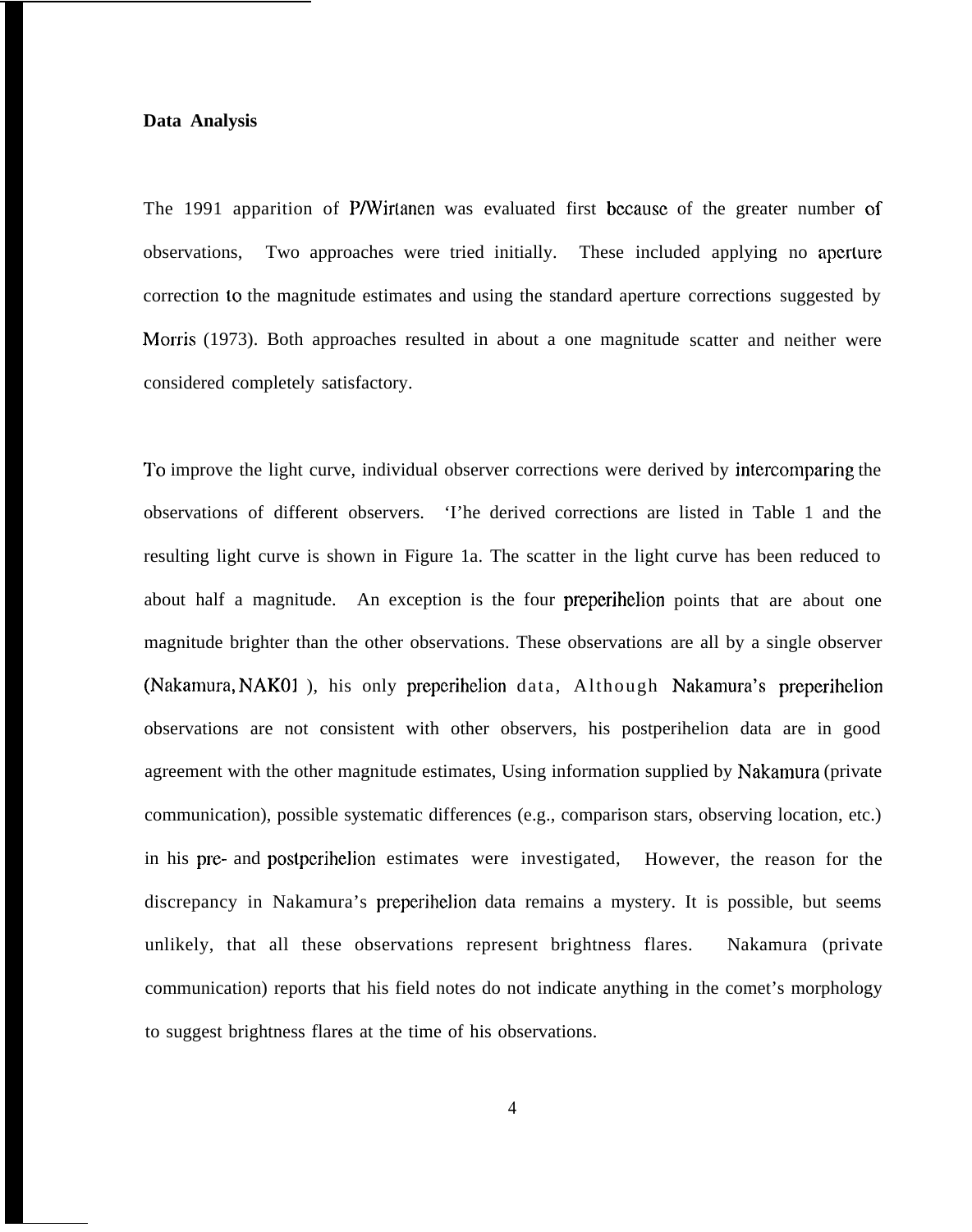## **Data Analysis**

The 1991 apparition of P/Wirlanen was evaluated first bccausc of the greater number of observations, Two approaches were tried initially. These included applying no apcrlure correction to the magnitude estimates and using the standard aperture corrections suggested by Morris (1973). Both approaches resulted in about a one magnitude scatter and neither were considered completely satisfactory.

To improve the light curve, individual observer corrections were derived by intercomparing the observations of different observers. 'I'he derived corrections are listed in Table 1 and the resulting light curve is shown in Figure 1a. The scatter in the light curve has been reduced to about half a magnitude. An exception is the four preperihelion points that are about one magnitude brighter than the other observations. These observations are all by a single observer (Nakamura, NAKOI ), his only preperihelion data, Although Nakamura's preperihelion observations are not consistent with other observers, his postperihelion data are in good agreement with the other magnitude estimates, Using information supplied by Nakamura (private communication), possible systematic differences (e.g., comparison stars, observing location, etc.) in his pre- and postperihelion estimates were investigated, However, the reason for the discrepancy in Nakamura's preperihelion data remains a mystery. It is possible, but seems unlikely, that all these observations represent brightness flares. Nakamura (private communication) reports that his field notes do not indicate anything in the comet's morphology to suggest brightness flares at the time of his observations.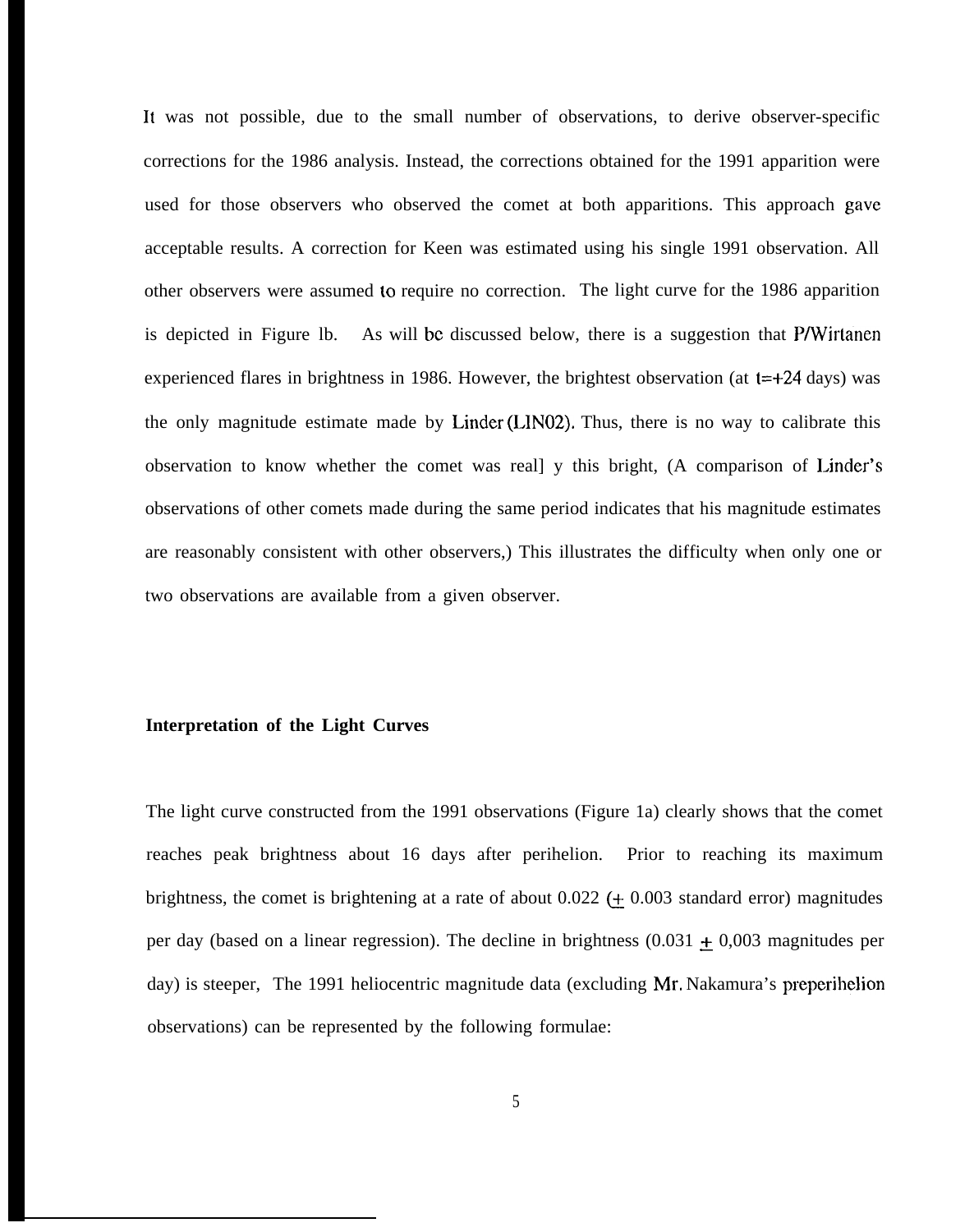It was not possible, due to the small number of observations, to derive observer-specific corrections for the 1986 analysis. Instead, the corrections obtained for the 1991 apparition were used for those observers who observed the comet at both apparitions. This approach *gave* acceptable results. A correction for Keen was estimated using his single 1991 observation. All other observers were assumed to require no correction. The light curve for the 1986 apparition is depicted in Figure 1b. As will be discussed below, there is a suggestion that P/Wirtanen experienced flares in brightness in 1986. However, the brightest observation (at  $t=+24$  days) was the only magnitude estimate made by Linder (LIN02). Thus, there is no way to calibrate this observation to know whether the comet was reall y this bright, (A comparison of Linder's observations of other comets made during the same period indicates that his magnitude estimates are reasonably consistent with other observers,) This illustrates the difficulty when only one or two observations are available from a given observer.

### **Interpretation of the Light Curves**

The light curve constructed from the 1991 observations (Figure 1a) clearly shows that the comet reaches peak brightness about 16 days after perihelion. Prior to reaching its maximum brightness, the comet is brightening at a rate of about  $0.022$  ( $\pm$  0.003 standard error) magnitudes per day (based on a linear regression). The decline in brightness  $(0.031 \pm 0.003$  magnitudes per day) is steeper, The 1991 heliocentric magnitude data (excluding Mr. Nakamura's preperihelion observations) can be represented by the following formulae: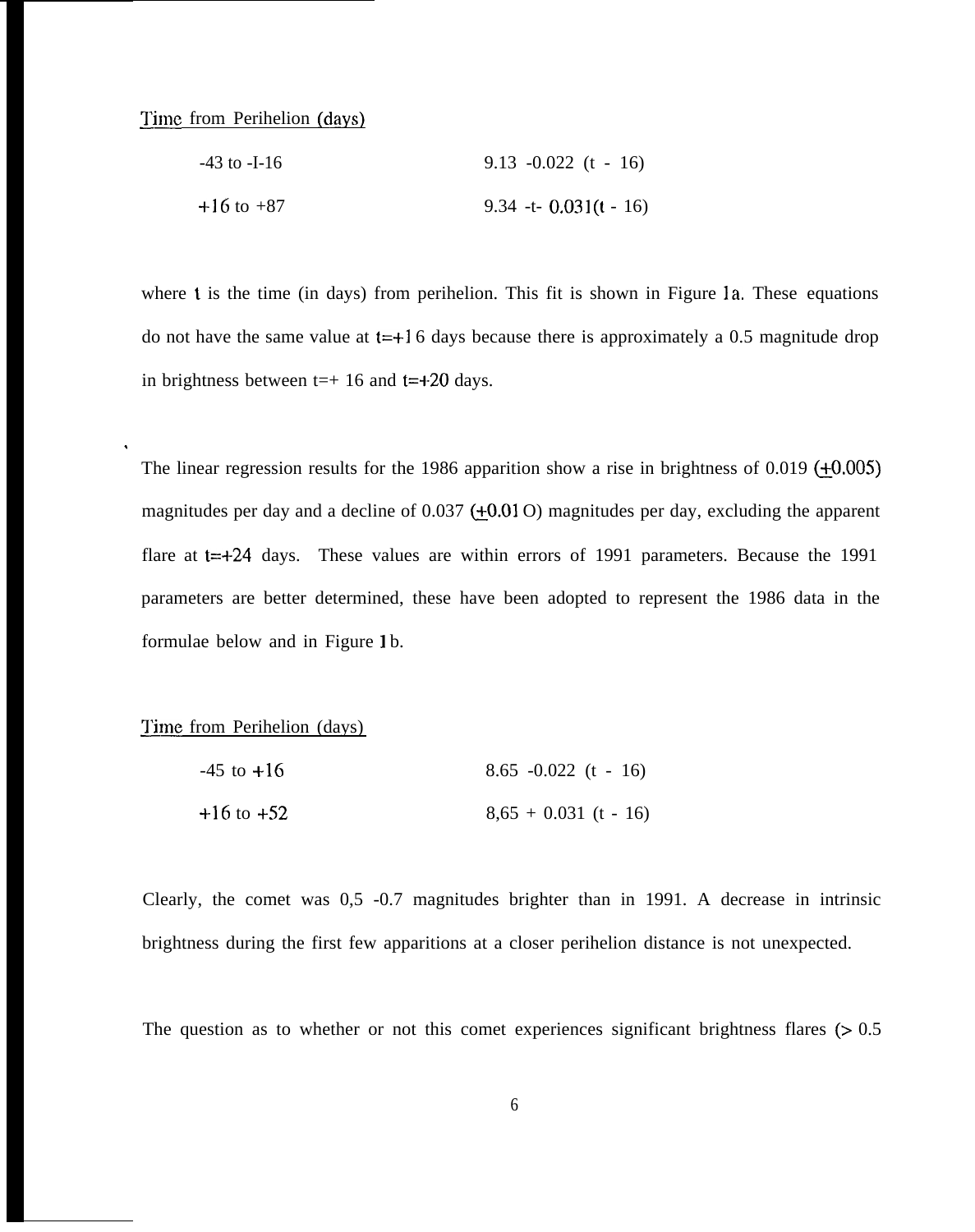# Time from Perihelion (days)

| $-43$ to $-1-16$ | $9.13 - 0.022$ (t - 16)   |
|------------------|---------------------------|
| $+16$ to $+87$   | $9.34 -t - 0.031(t - 16)$ |

where t is the time (in days) from perihelion. This fit is shown in Figure 1a. These equations do not have the same value at  $t=+16$  days because there is approximately a 0.5 magnitude drop in brightness between  $t=+16$  and  $t=+20$  days.

The linear regression results for the 1986 apparition show a rise in brightness of 0.019  $(+0.005)$ magnitudes per day and a decline of  $0.037$  (+0.01 O) magnitudes per day, excluding the apparent flare at  $t=+24$  days. These values are within errors of 1991 parameters. Because the 1991 parameters are better determined, these have been adopted to represent the 1986 data in the formulae below and in Figure 1 b.

## Time from Perihelion (days)

.

| $-45$ to $+16$ | $8.65 - 0.022$ (t - 16) |
|----------------|-------------------------|
| $+16$ to $+52$ | $8,65 + 0.031$ (t - 16) |

Clearly, the comet was 0,5 -0.7 magnitudes brighter than in 1991. A decrease in intrinsic brightness during the first few apparitions at a closer perihelion distance is not unexpected.

The question as to whether or not this comet experiences significant brightness flares  $(> 0.5)$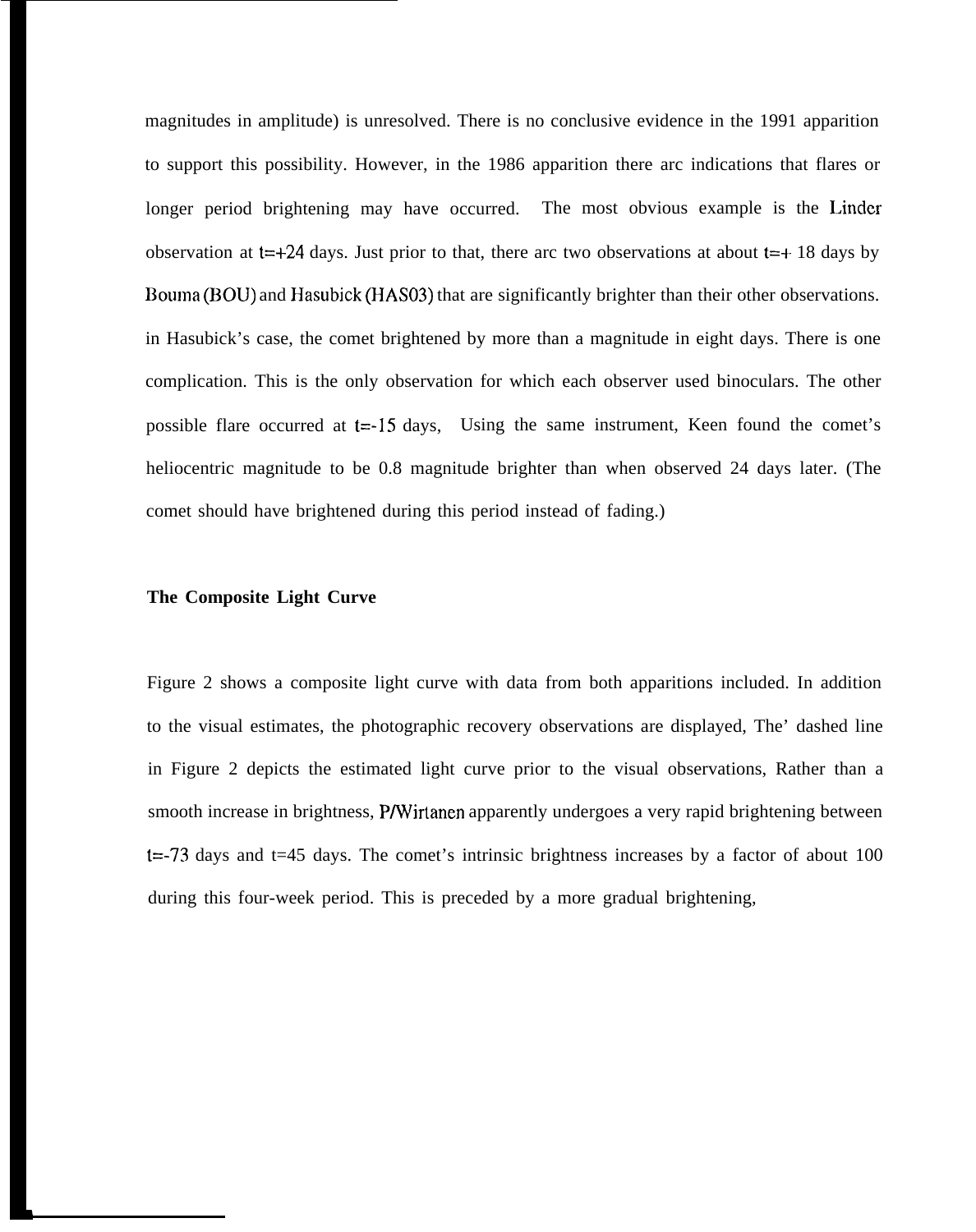magnitudes in amplitude) is unresolved. There is no conclusive evidence in the 1991 apparition to support this possibility. However, in the 1986 apparition there arc indications that flares or longer period brightening may have occurred. The most obvious example is the Linder observation at  $t=+24$  days. Just prior to that, there arc two observations at about  $t=+18$  days by Bouma (BOU) and Hasubick (HAS03) that are significantly brighter than their other observations. in Hasubick's case, the comet brightened by more than a magnitude in eight days. There is one complication. This is the only observation for which each observer used binoculars. The other possible flare occurred at  $t=15$  days, Using the same instrument, Keen found the comet's heliocentric magnitude to be 0.8 magnitude brighter than when observed 24 days later. (The comet should have brightened during this period instead of fading.)

## **The Composite Light Curve**

Figure 2 shows a composite light curve with data from both apparitions included. In addition to the visual estimates, the photographic recovery observations are displayed, The' dashed line in Figure 2 depicts the estimated light curve prior to the visual observations, Rather than a smooth increase in brightness, P/Wirtanen apparently undergoes a very rapid brightening between  $t = -73$  days and  $t = 45$  days. The comet's intrinsic brightness increases by a factor of about 100 during this four-week period. This is preceded by a more gradual brightening,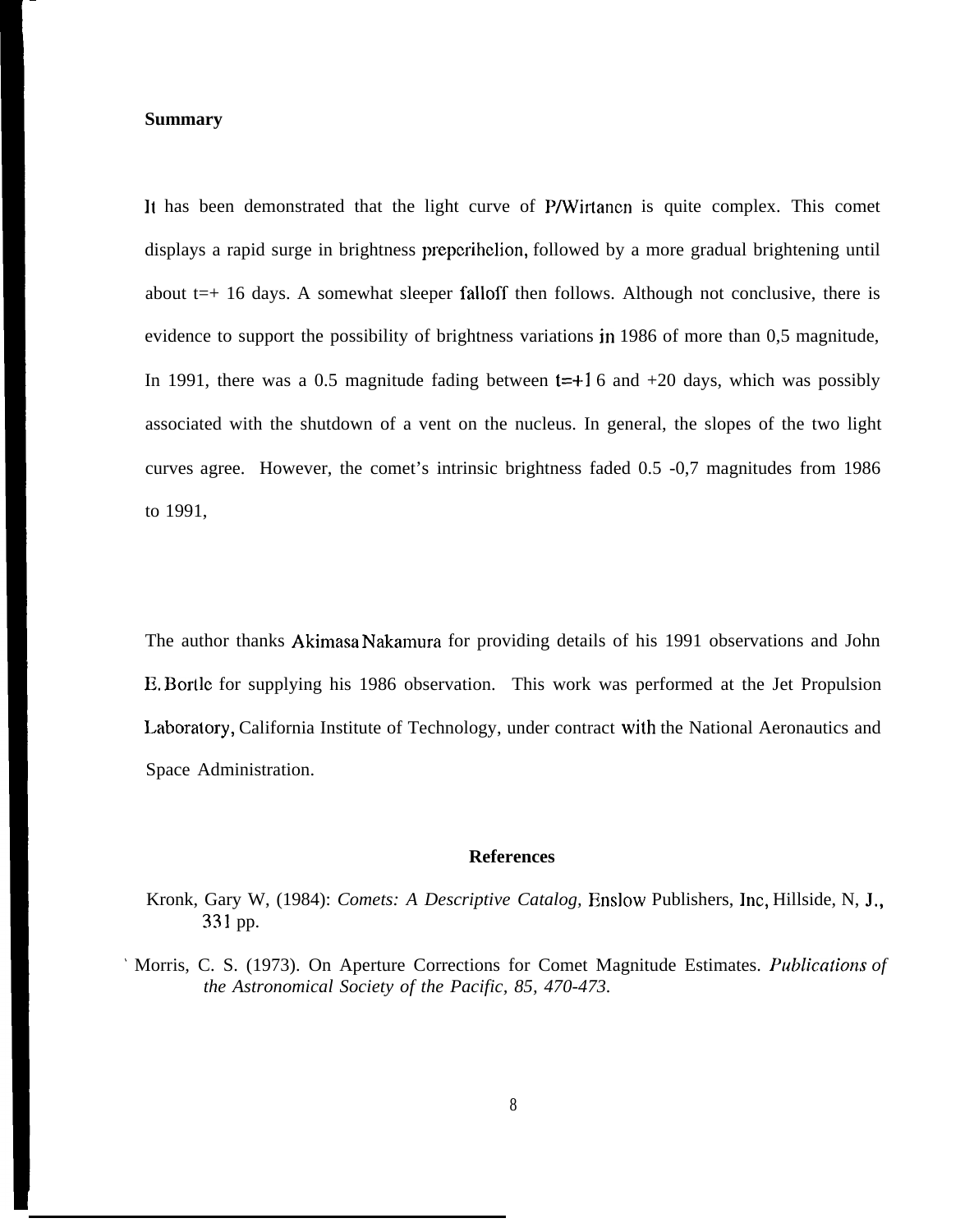### **Summary**

It has been demonstrated that the light curve of P/Wirtanen is quite complex. This comet displays a rapid surge in brightness prepcrihelion, followed by a more gradual brightening until about  $t=+16$  days. A somewhat sleeper falloff then follows. Although not conclusive, there is evidence to support the possibility of brightness variations in 1986 of more than 0,5 magnitude, In 1991, there was a 0.5 magnitude fading between  $t=+1.6$  and  $+20$  days, which was possibly associated with the shutdown of a vent on the nucleus. In general, the slopes of the two light curves agree. However, the comet's intrinsic brightness faded 0.5 -0,7 magnitudes from 1986 to 1991,

The author thanks Akimasa Nakamura for providing details of his 1991 observations and John E. Bortlc for supplying his 1986 observation. This work was performed at the Jet Propulsion Laboratory, California Institute of Technology, under contract with the National Aeronautics and Space Administration.

## **References**

Kronk, Gary W, (1984): *Comets: A Descriptive Catalog*, Enslow Publishers, Inc, Hillside, N, J., 331 pp.

' Morris, C. S. (1973). On Aperture Corrections for Comet Magnitude Estimates. *Publicdions of the Astronomical Society of the Pacific, 85, 470-473.*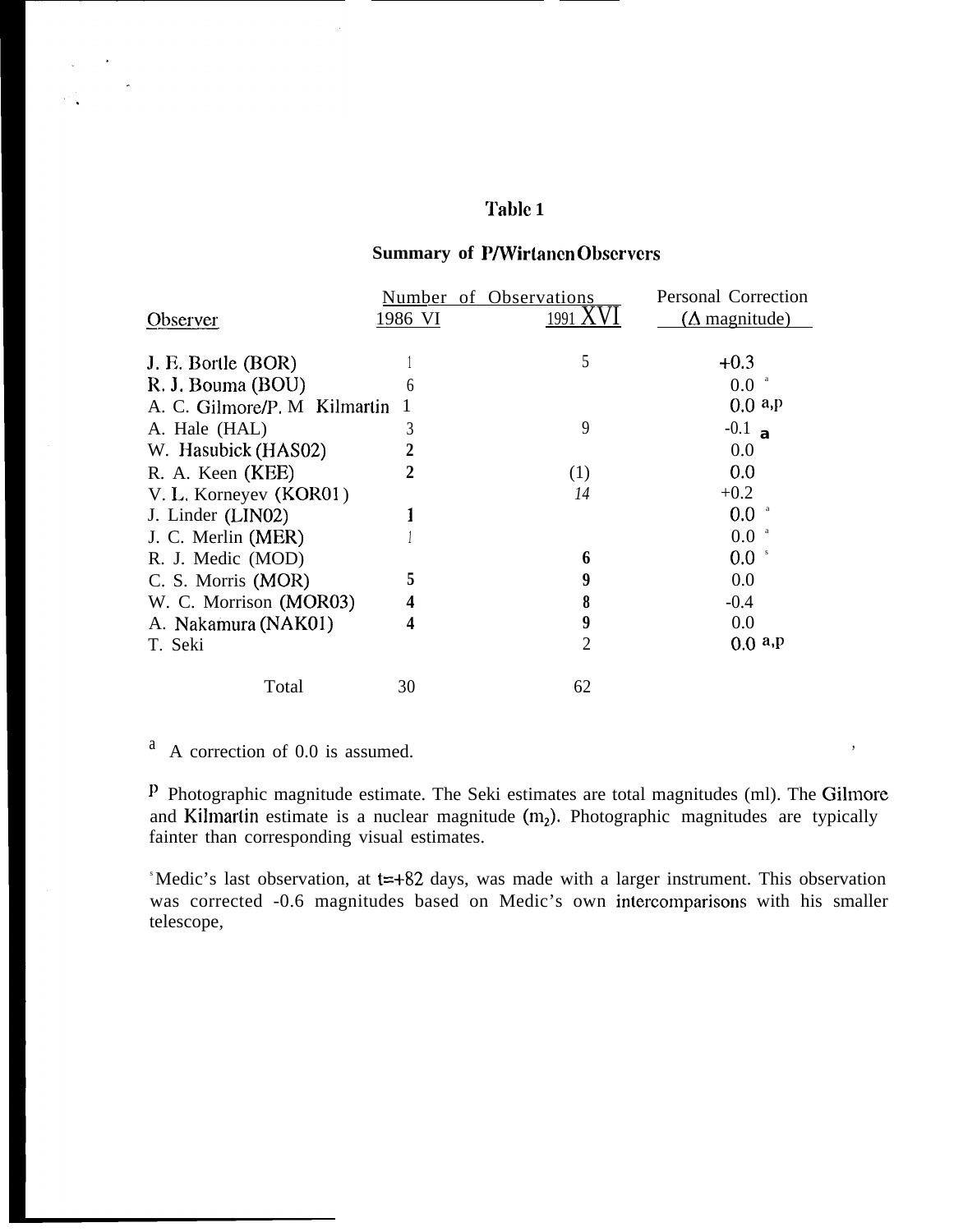# **Table 1**

## **Summary of P/Wirtanen Observers**

|                              | Number  | of Observations | Personal Correction          |
|------------------------------|---------|-----------------|------------------------------|
| Observer                     | 1986 VI | 1991            | $(\Delta \text{ magnitude})$ |
|                              |         |                 |                              |
| J. E. Bortle (BOR)           |         | 5               | $+0.3$                       |
| R. J. Bouma (BOU)            | 6       |                 | 0.0                          |
| A. C. Gilmore/P. M Kilmartin |         |                 | 0.0 a.p                      |
| A. Hale (HAL)                | 3       | 9               | $-0.1$ a                     |
| W. Hasubick (HAS02)          |         |                 | 0.0                          |
| R. A. Keen (KEE)             | 2       | (1)             | 0.0                          |
| V. L. Korneyev (KOR01)       |         | 14              | $+0.2$                       |
| J. Linder (LIN02)            |         |                 | $0.0\,$                      |
| J. C. Merlin (MER)           |         |                 | 0.0                          |
| R. J. Medic (MOD)            |         | 6               | 0.0<br>s                     |
| C. S. Morris (MOR)           |         | 9               | 0.0                          |
| W. C. Morrison (MOR03)       | 4       | 8               | $-0.4$                       |
| A. Nakamura (NAK01)          | 4       | 9               | 0.0                          |
| T. Seki                      |         | 2               | 0.0 a.p                      |
| Total                        | 30      | 62              |                              |
|                              |         |                 |                              |

 $A$  correction of 0.0 is assumed.

 $\mathbf{z}$  .

<sup>P</sup> Photographic magnitude estimate. The Seki estimates are total magnitudes (ml). The Gilmore and Kilmartin estimate is a nuclear magnitude  $(m_2)$ . Photographic magnitudes are typically fainter than corresponding visual estimates.

S Medic's last observation, at t=+82 days, was made with a larger instrument. This observation was corrected -0.6 magnitudes based on Medic's own intercomparisons with his smaller telescope,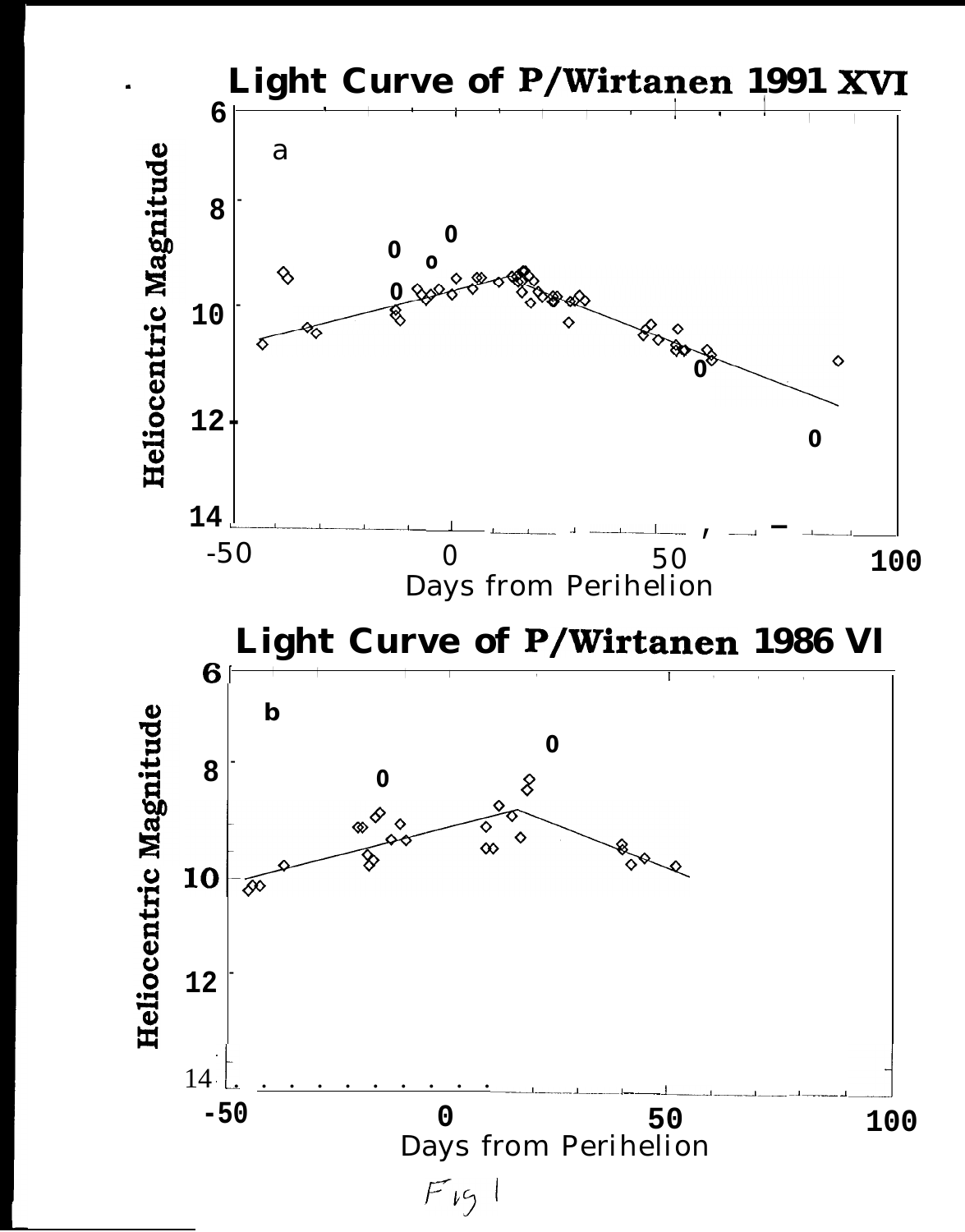